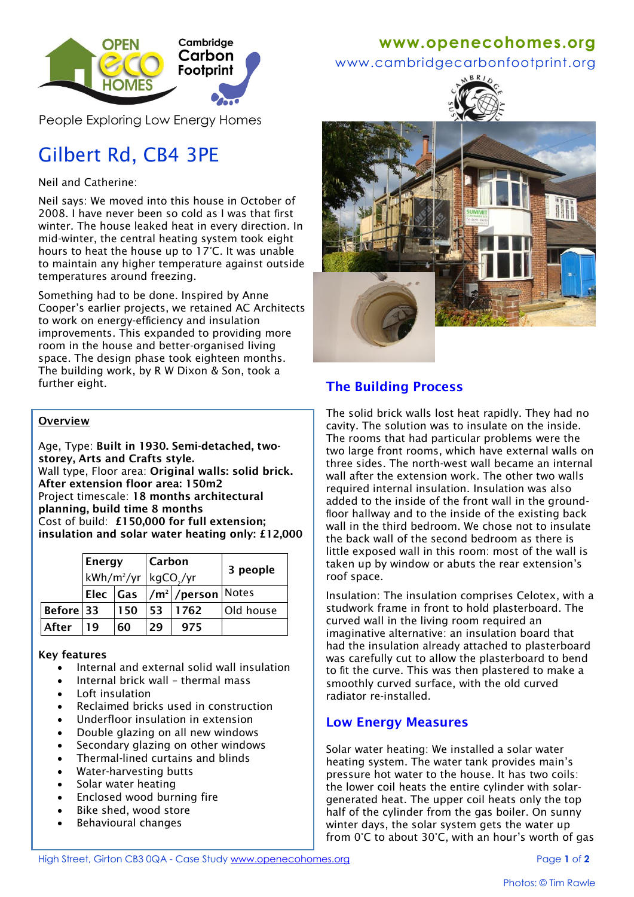

People Exploring Low Energy Homes

# Gilbert Rd, CB4 3PE

## Neil and Catherine:

Neil says: We moved into this house in October of 2008. I have never been so cold as I was that first winter. The house leaked heat in every direction. In mid-winter, the central heating system took eight hours to heat the house up to 17°C. It was unable to maintain any higher temperature against outside temperatures around freezing.

Something had to be done. Inspired by Anne Cooper's earlier projects, we retained AC Architects to work on energy-efficiency and insulation improvements. This expanded to providing more room in the house and better-organised living space. The design phase took eighteen months. The building work, by R W Dixon & Son, took a further eight.

#### **Overview**

Age, Type: **Built in 1930. Semi-detached, twostorey, Arts and Crafts style.** Wall type, Floor area: **Original walls: solid brick. After extension floor area: 150m2** Project timescale: **18 months architectural planning, build time 8 months** Cost of build: **£150,000 for full extension; insulation and solar water heating only: £12,000**

|           | <b>Energy</b><br>kWh/m <sup>2</sup> /yr   kgCO <sub>2</sub> /yr |     | <b>Carbon</b> |                        | 3 people  |
|-----------|-----------------------------------------------------------------|-----|---------------|------------------------|-----------|
|           | Elec  Gas                                                       |     |               | $1/m^2$ / person Notes |           |
| Before 33 |                                                                 | 150 | '53           | 1762                   | Old house |
| After     | 19                                                              | 60  | 29            | 975                    |           |

## **Key features**

- Internal and external solid wall insulation
- Internal brick wall thermal mass
- Loft insulation
- Reclaimed bricks used in construction
- Underfloor insulation in extension
- Double glazing on all new windows
- Secondary glazing on other windows
- Thermal-lined curtains and blinds
- Water-harvesting butts
- Solar water heating
- Enclosed wood burning fire
- Bike shed, wood store
- Behavioural changes

# **www[.openecohomes.org](http://www.openecohomes.org/)**

www.cambridgecarbonfootprint.org





# **The Building Process**

The solid brick walls lost heat rapidly. They had no cavity. The solution was to insulate on the inside. The rooms that had particular problems were the two large front rooms, which have external walls on three sides. The north-west wall became an internal wall after the extension work. The other two walls required internal insulation. Insulation was also added to the inside of the front wall in the groundfloor hallway and to the inside of the existing back wall in the third bedroom. We chose not to insulate the back wall of the second bedroom as there is little exposed wall in this room: most of the wall is taken up by window or abuts the rear extension's roof space.

Insulation: The insulation comprises Celotex, with a studwork frame in front to hold plasterboard. The curved wall in the living room required an imaginative alternative: an insulation board that had the insulation already attached to plasterboard was carefully cut to allow the plasterboard to bend to fit the curve. This was then plastered to make a smoothly curved surface, with the old curved radiator re-installed.

## **Low Energy Measures**

Solar water heating: We installed a solar water heating system. The water tank provides main's pressure hot water to the house. It has two coils: the lower coil heats the entire cylinder with solargenerated heat. The upper coil heats only the top half of the cylinder from the gas boiler. On sunny winter days, the solar system gets the water up from 0°C to about 30°C, with an hour's worth of gas